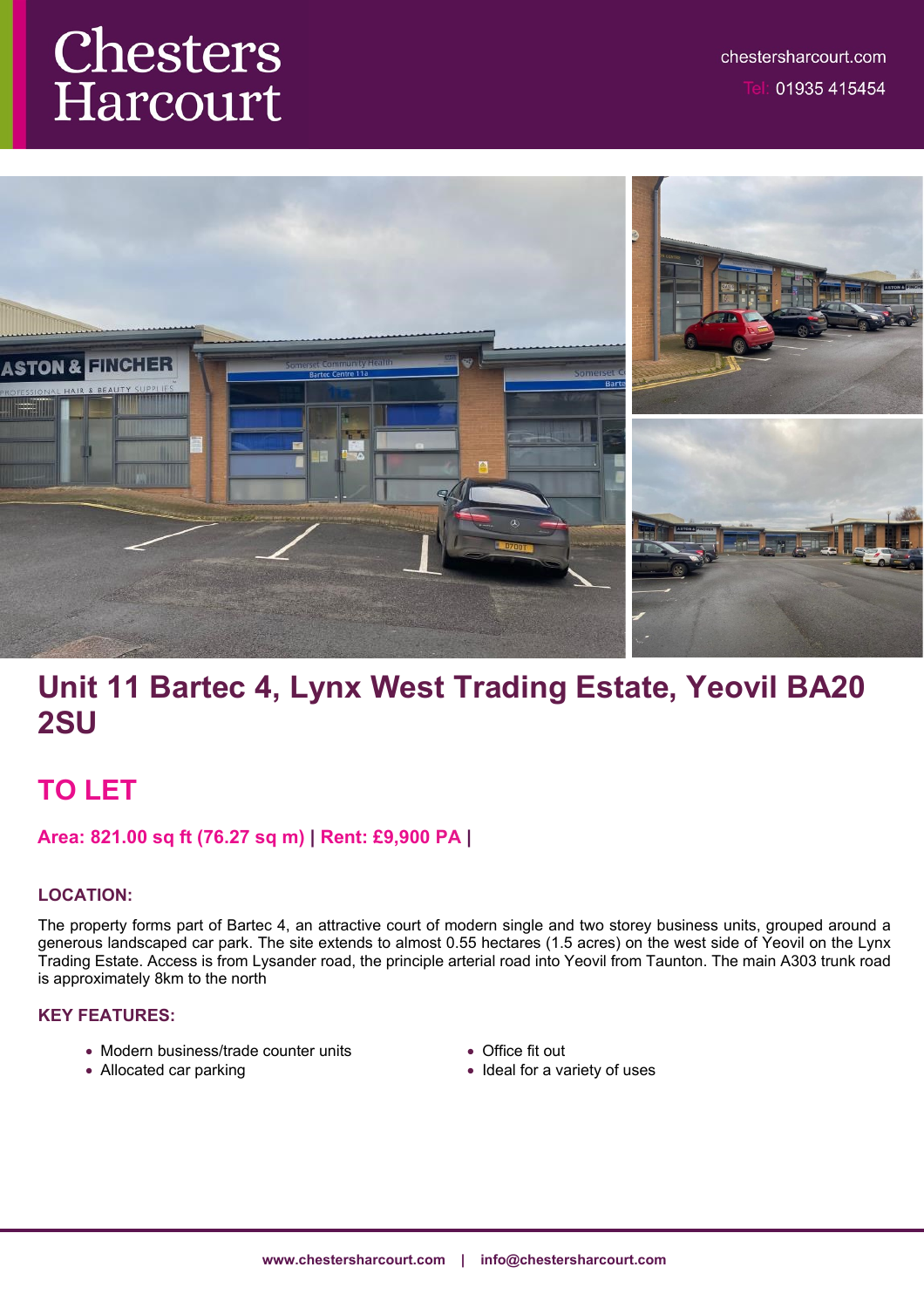# Chesters Harcourt



# **Unit 11 Bartec 4, Lynx West Trading Estate, Yeovil BA20 2SU**

## **TO LET**

### **Area: 821.00 sq ft (76.27 sq m) | Rent: £9,900 PA |**

#### **LOCATION:**

The property forms part of Bartec 4, an attractive court of modern single and two storey business units, grouped around a generous landscaped car park. The site extends to almost 0.55 hectares (1.5 acres) on the west side of Yeovil on the Lynx Trading Estate. Access is from Lysander road, the principle arterial road into Yeovil from Taunton. The main A303 trunk road is approximately 8km to the north

#### **KEY FEATURES:**

- Modern business/trade counter units
- Allocated car parking
- Office fit out
- Ideal for a variety of uses